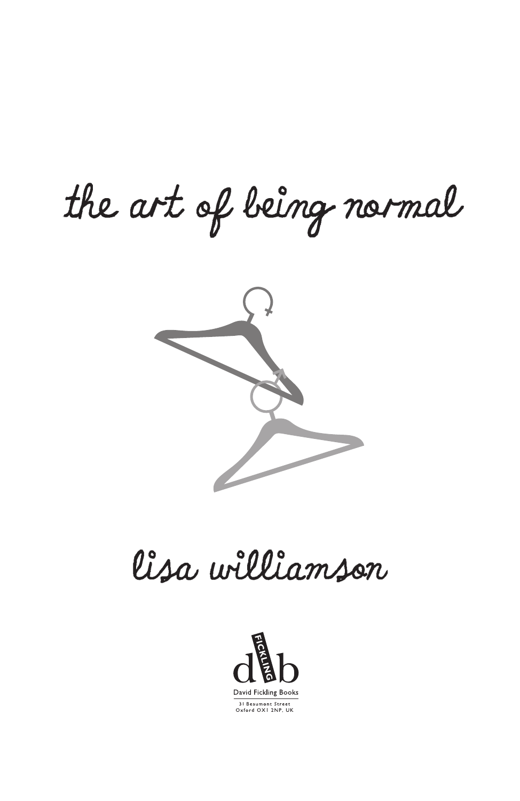the art of being normal



lisa williamson

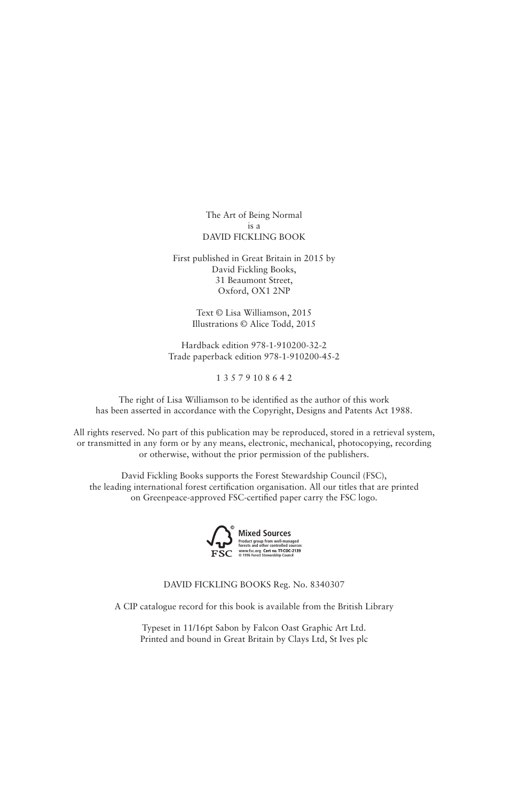The Art of Being Normal is a DAVID FICKLING BOOK

First published in Great Britain in 2015 by David Fickling Books, 31 Beaumont Street, Oxford, OX1 2NP

> Text © Lisa Williamson, 2015 Illustrations © Alice Todd, 2015

Hardback edition 978-1-910200-32-2 Trade paperback edition 978-1-910200-45-2

1 3 5 7 9 10 8 6 4 2

The right of Lisa Williamson to be identified as the author of this work has been asserted in accordance with the Copyright, Designs and Patents Act 1988.

All rights reserved. No part of this publication may be reproduced, stored in a retrieval system, or transmitted in any form or by any means, electronic, mechanical, photocopying, recording or otherwise, without the prior permission of the publishers.

David Fickling Books supports the Forest Stewardship Council (FSC), the leading international forest certification organisation. All our titles that are printed on Greenpeace-approved FSC-certified paper carry the FSC logo.



DAVID FICKLING BOOKS Reg. No. 8340307

A CIP catalogue record for this book is available from the British Library

Typeset in 11/16pt Sabon by Falcon Oast Graphic Art Ltd. Printed and bound in Great Britain by Clays Ltd, St Ives plc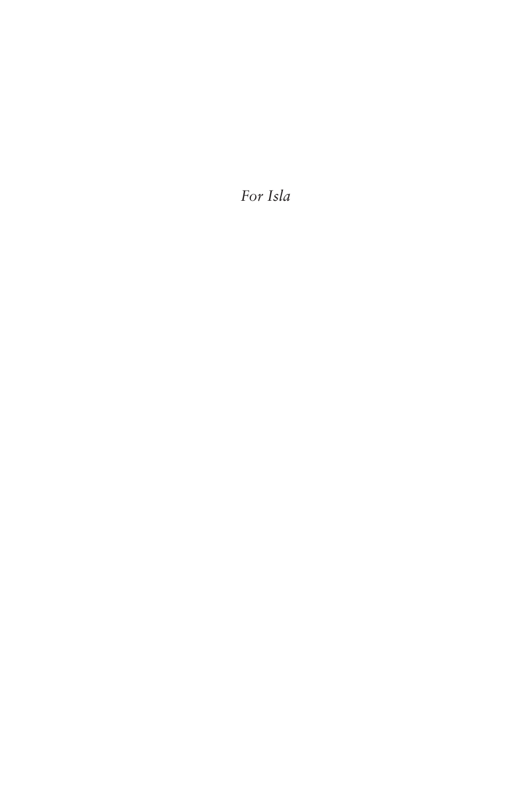For Isla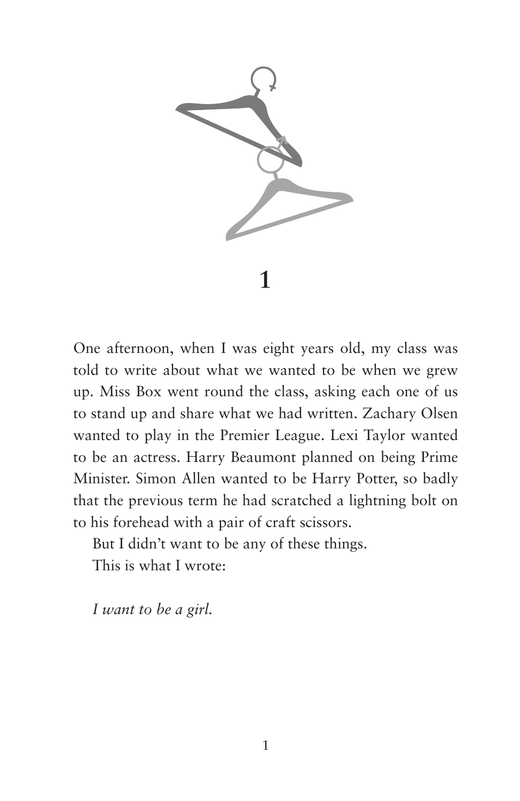

One afternoon, when I was eight years old, my class was told to write about what we wanted to be when we grew up. Miss Box went round the class, asking each one of us to stand up and share what we had written. Zachary Olsen wanted to play in the Premier League. Lexi Taylor wanted to be an actress. Harry Beaumont planned on being Prime Minister. Simon Allen wanted to be Harry Potter, so badly that the previous term he had scratched a lightning bolt on to his forehead with a pair of craft scissors.

But I didn't want to be any of these things.

This is what I wrote:

*I want to be a girl.*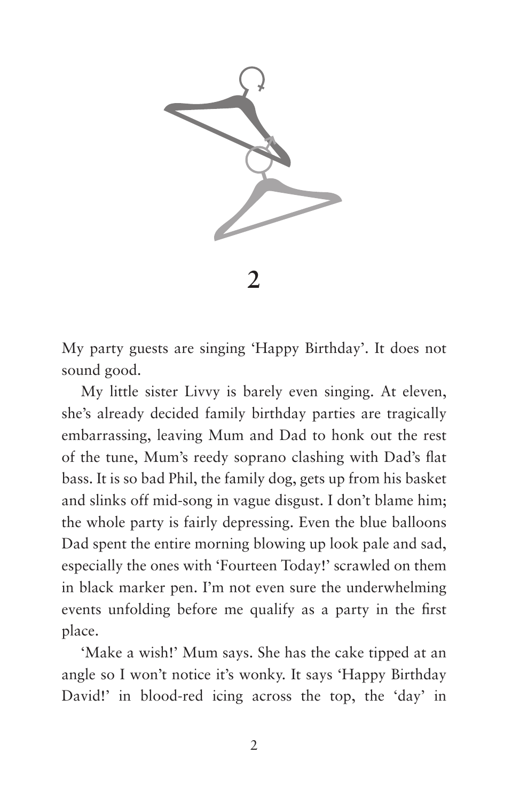

My party guests are singing 'Happy Birthday'. It does not sound good.

My little sister Livvy is barely even singing. At eleven, she's already decided family birthday parties are tragically embarrassing, leaving Mum and Dad to honk out the rest of the tune, Mum's reedy soprano clashing with Dad's flat bass. It is so bad Phil, the family dog, gets up from his basket and slinks off mid-song in vague disgust. I don't blame him; the whole party is fairly depressing. Even the blue balloons Dad spent the entire morning blowing up look pale and sad, especially the ones with 'Fourteen Today!' scrawled on them in black marker pen. I'm not even sure the underwhelming events unfolding before me qualify as a party in the first place.

'Make a wish!' Mum says. She has the cake tipped at an angle so I won't notice it's wonky. It says 'Happy Birthday David!' in blood-red icing across the top, the 'day' in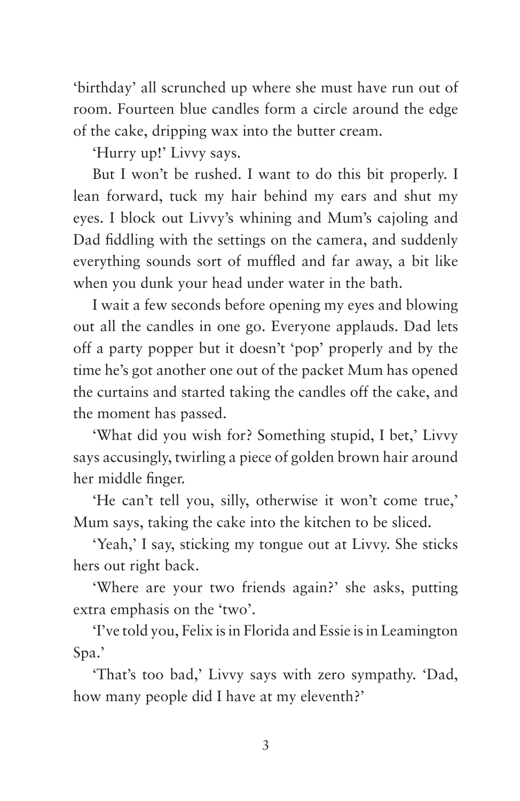'birthday' all scrunched up where she must have run out of room. Fourteen blue candles form a circle around the edge of the cake, dripping wax into the butter cream.

'Hurry up!' Livvy says.

But I won't be rushed. I want to do this bit properly. I lean forward, tuck my hair behind my ears and shut my eyes. I block out Livvy's whining and Mum's cajoling and Dad fiddling with the settings on the camera, and suddenly everything sounds sort of muffled and far away, a bit like when you dunk your head under water in the bath.

I wait a few seconds before opening my eyes and blowing out all the candles in one go. Everyone applauds. Dad lets off a party popper but it doesn't 'pop' properly and by the time he's got another one out of the packet Mum has opened the curtains and started taking the candles off the cake, and the moment has passed.

'What did you wish for? Something stupid, I bet,' Livvy says accusingly, twirling a piece of golden brown hair around her middle finger.

'He can't tell you, silly, otherwise it won't come true,' Mum says, taking the cake into the kitchen to be sliced.

'Yeah,' I say, sticking my tongue out at Livvy. She sticks hers out right back.

'Where are your two friends again?' she asks, putting extra emphasis on the 'two'.

'I've told you, Felix is in Florida and Essie is in Leamington Spa.'

'That's too bad,' Livvy says with zero sympathy. 'Dad, how many people did I have at my eleventh?'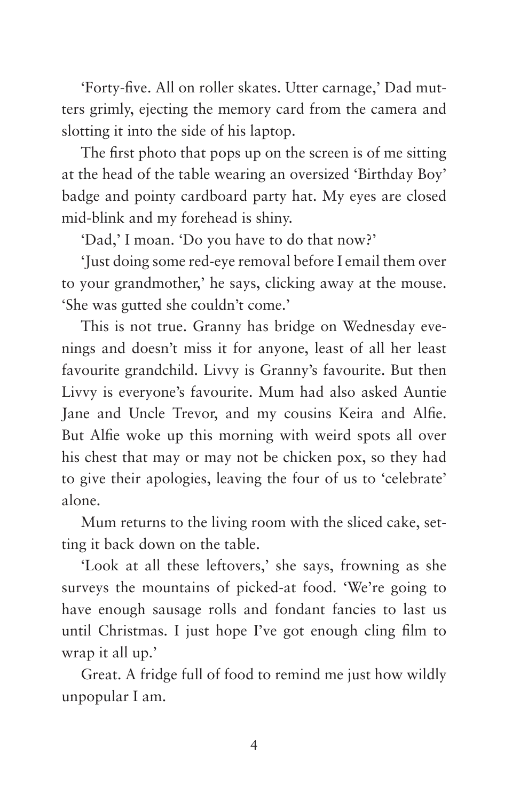'Forty-five. All on roller skates. Utter carnage,' Dad mutters grimly, ejecting the memory card from the camera and slotting it into the side of his laptop.

The first photo that pops up on the screen is of me sitting at the head of the table wearing an oversized 'Birthday Boy' badge and pointy cardboard party hat. My eyes are closed mid-blink and my forehead is shiny.

'Dad,' I moan. 'Do you have to do that now?'

'Just doing some red-eye removal before I email them over to your grandmother,' he says, clicking away at the mouse. 'She was gutted she couldn't come.'

This is not true. Granny has bridge on Wednesday evenings and doesn't miss it for anyone, least of all her least favourite grandchild. Livvy is Granny's favourite. But then Livvy is everyone's favourite. Mum had also asked Auntie Jane and Uncle Trevor, and my cousins Keira and Alfie. But Alfie woke up this morning with weird spots all over his chest that may or may not be chicken pox, so they had to give their apologies, leaving the four of us to 'celebrate' alone.

Mum returns to the living room with the sliced cake, setting it back down on the table.

'Look at all these leftovers,' she says, frowning as she surveys the mountains of picked-at food. 'We're going to have enough sausage rolls and fondant fancies to last us until Christmas. I just hope I've got enough cling film to wrap it all up.'

Great. A fridge full of food to remind me just how wildly unpopular I am.